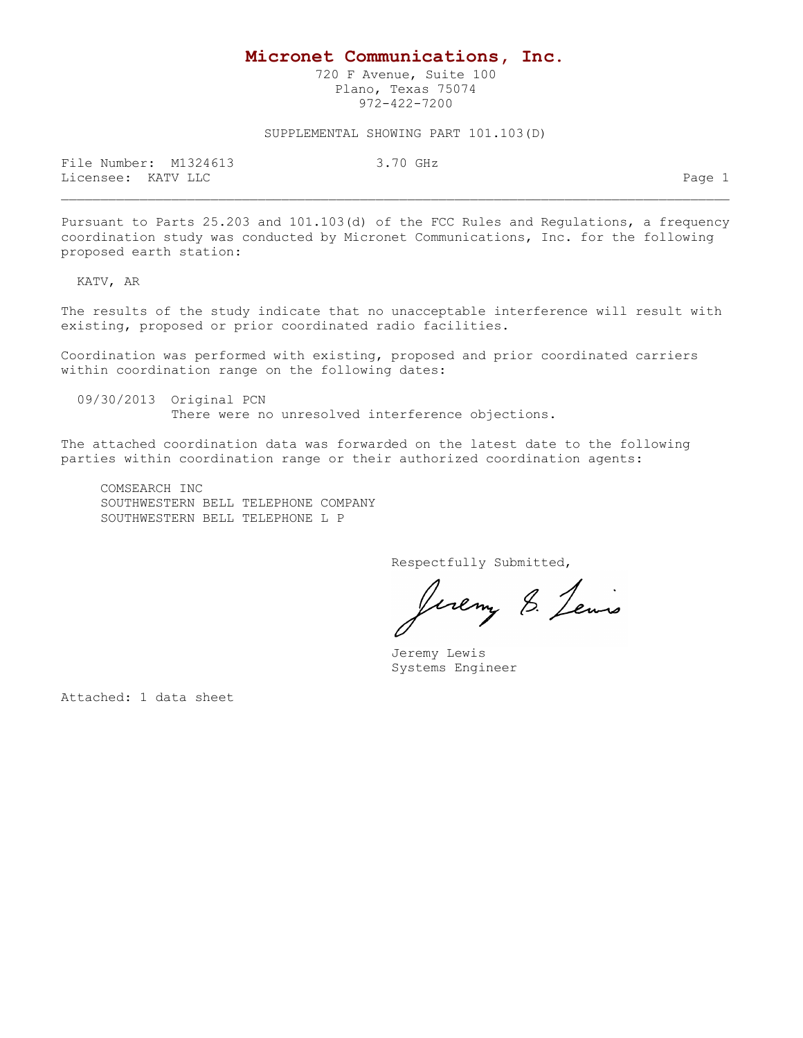## **Micronet Communications, Inc.**

720 F Avenue, Suite 100 Plano, Texas 75074 972-422-7200

## SUPPLEMENTAL SHOWING PART 101.103(D)

File Number: M1324613 3.70 GHz Licensee: KATV LLC Page 1

Pursuant to Parts 25.203 and 101.103(d) of the FCC Rules and Regulations, a frequency coordination study was conducted by Micronet Communications, Inc. for the following proposed earth station:

KATV, AR

The results of the study indicate that no unacceptable interference will result with existing, proposed or prior coordinated radio facilities.

Coordination was performed with existing, proposed and prior coordinated carriers within coordination range on the following dates:

 09/30/2013 Original PCN There were no unresolved interference objections.

The attached coordination data was forwarded on the latest date to the following parties within coordination range or their authorized coordination agents:

 COMSEARCH INC SOUTHWESTERN BELL TELEPHONE COMPANY SOUTHWESTERN BELL TELEPHONE L P

Respectfully Submitted,

Juemy 8. Lewis

 Jeremy Lewis Systems Engineer

Attached: 1 data sheet